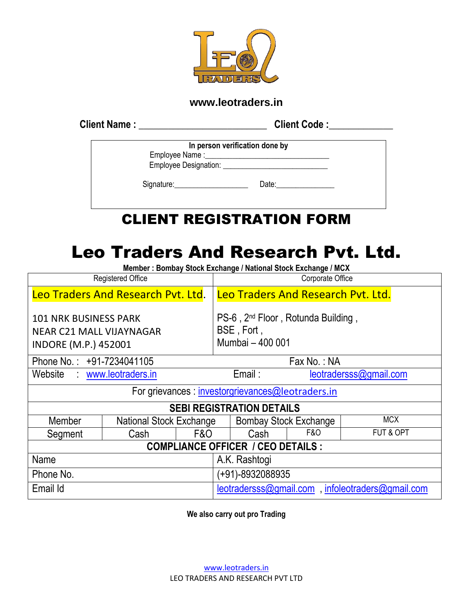

## **www.leotraders.in**

**Client Name :** \_\_\_\_\_\_\_\_\_\_\_\_\_\_\_\_\_\_\_\_\_\_\_\_\_\_ **Client Code :\_\_\_\_\_\_\_\_\_\_\_\_\_**

| In person verification done by                                                                                                                                                                                                 |  |  |  |  |  |  |
|--------------------------------------------------------------------------------------------------------------------------------------------------------------------------------------------------------------------------------|--|--|--|--|--|--|
|                                                                                                                                                                                                                                |  |  |  |  |  |  |
|                                                                                                                                                                                                                                |  |  |  |  |  |  |
| Date: the contract of the contract of the contract of the contract of the contract of the contract of the contract of the contract of the contract of the contract of the contract of the contract of the contract of the cont |  |  |  |  |  |  |
|                                                                                                                                                                                                                                |  |  |  |  |  |  |

# CLIENT REGISTRATION FORM

# Leo Traders And Research Pvt. Ltd.

**Member : Bombay Stock Exchange / National Stock Exchange / MCX**

| <b>Registered Office</b>                                                                       |                         |     | Corporate Office                                                                 |                                                  |                |            |  |
|------------------------------------------------------------------------------------------------|-------------------------|-----|----------------------------------------------------------------------------------|--------------------------------------------------|----------------|------------|--|
| Leo Traders And Research Pvt. Ltd.                                                             |                         |     | Leo Traders And Research Pvt. Ltd.                                               |                                                  |                |            |  |
| <b>101 NRK BUSINESS PARK</b><br><b>NEAR C21 MALL VIJAYNAGAR</b><br><b>INDORE (M.P.) 452001</b> |                         |     | PS-6, 2 <sup>nd</sup> Floor, Rotunda Building,<br>BSE, Fort,<br>Mumbai - 400 001 |                                                  |                |            |  |
| Phone No.: +91-7234041105                                                                      |                         |     |                                                                                  | Fax No.: NA                                      |                |            |  |
| Website www.leotraders.in                                                                      |                         |     | Email:<br>leotradersss@gmail.com                                                 |                                                  |                |            |  |
| For grievances : investorgrievances@leotraders.in                                              |                         |     |                                                                                  |                                                  |                |            |  |
| <b>SEBI REGISTRATION DETAILS</b>                                                               |                         |     |                                                                                  |                                                  |                |            |  |
| Member                                                                                         | National Stock Exchange |     |                                                                                  | <b>Bombay Stock Exchange</b>                     |                | <b>MCX</b> |  |
| Segment                                                                                        | Cash                    | F&O |                                                                                  | Cash                                             | <b>F&amp;O</b> | FUT & OPT  |  |
| <b>COMPLIANCE OFFICER / CEO DETAILS :</b>                                                      |                         |     |                                                                                  |                                                  |                |            |  |
| Name<br>A.K. Rashtogi                                                                          |                         |     |                                                                                  |                                                  |                |            |  |
| Phone No.<br>(+91)-8932088935                                                                  |                         |     |                                                                                  |                                                  |                |            |  |
| Email Id                                                                                       |                         |     |                                                                                  | leotradersss@gmail.com, infoleotraders@gmail.com |                |            |  |

**We also carry out pro Trading**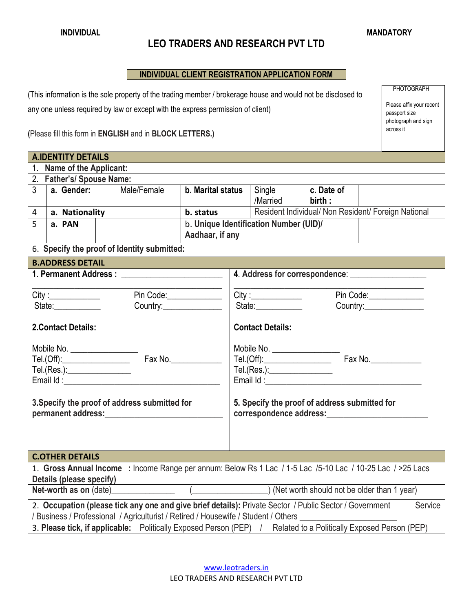### **LEO TRADERS AND RESEARCH PVT LTD**

#### **INDIVIDUAL CLIENT REGISTRATION APPLICATION FORM**

(This information is the sole property of the trading member / brokerage house and would not be disclosed to any one unless required by law or except with the express permission of client)

**(**Please fill this form in **ENGLISH** and in **BLOCK LETTERS.)**

|                                                                                                                    | <b>A.IDENTITY DETAILS</b>                                                                                      |  |                                                                                                                                                                                                                                                                                 |                              |  |                                        |            |                                                     |  |  |
|--------------------------------------------------------------------------------------------------------------------|----------------------------------------------------------------------------------------------------------------|--|---------------------------------------------------------------------------------------------------------------------------------------------------------------------------------------------------------------------------------------------------------------------------------|------------------------------|--|----------------------------------------|------------|-----------------------------------------------------|--|--|
| 1.                                                                                                                 | Name of the Applicant:                                                                                         |  |                                                                                                                                                                                                                                                                                 |                              |  |                                        |            |                                                     |  |  |
|                                                                                                                    | 2. Father's/Spouse Name:                                                                                       |  |                                                                                                                                                                                                                                                                                 |                              |  |                                        |            |                                                     |  |  |
| 3 <sup>1</sup>                                                                                                     | a. Gender:                                                                                                     |  | Male/Female                                                                                                                                                                                                                                                                     | b. Marital status            |  | Single                                 | c. Date of |                                                     |  |  |
|                                                                                                                    |                                                                                                                |  |                                                                                                                                                                                                                                                                                 |                              |  | /Married                               | birth:     |                                                     |  |  |
| $\overline{4}$                                                                                                     | a. Nationality                                                                                                 |  |                                                                                                                                                                                                                                                                                 |                              |  |                                        |            | Resident Individual/ Non Resident/ Foreign National |  |  |
| 5                                                                                                                  | a. PAN                                                                                                         |  |                                                                                                                                                                                                                                                                                 |                              |  | b. Unique Identification Number (UID)/ |            |                                                     |  |  |
|                                                                                                                    |                                                                                                                |  |                                                                                                                                                                                                                                                                                 | Aadhaar, if any              |  |                                        |            |                                                     |  |  |
|                                                                                                                    |                                                                                                                |  | 6. Specify the proof of Identity submitted:                                                                                                                                                                                                                                     |                              |  |                                        |            |                                                     |  |  |
|                                                                                                                    | <b>B.ADDRESS DETAIL</b>                                                                                        |  |                                                                                                                                                                                                                                                                                 |                              |  |                                        |            |                                                     |  |  |
|                                                                                                                    |                                                                                                                |  |                                                                                                                                                                                                                                                                                 |                              |  |                                        |            |                                                     |  |  |
|                                                                                                                    |                                                                                                                |  |                                                                                                                                                                                                                                                                                 |                              |  |                                        |            |                                                     |  |  |
|                                                                                                                    | City:                                                                                                          |  |                                                                                                                                                                                                                                                                                 | Pin Code:                    |  | City:<br>Pin Code:                     |            |                                                     |  |  |
|                                                                                                                    | State:____________                                                                                             |  | Country:_______________                                                                                                                                                                                                                                                         |                              |  | State:____________                     |            | Country: Country:                                   |  |  |
| <b>2.Contact Details:</b>                                                                                          |                                                                                                                |  | <b>Contact Details:</b>                                                                                                                                                                                                                                                         |                              |  |                                        |            |                                                     |  |  |
|                                                                                                                    | Mobile No. __________________                                                                                  |  |                                                                                                                                                                                                                                                                                 |                              |  |                                        |            |                                                     |  |  |
|                                                                                                                    |                                                                                                                |  |                                                                                                                                                                                                                                                                                 |                              |  |                                        |            |                                                     |  |  |
| Tel.(Res.):__________________                                                                                      |                                                                                                                |  |                                                                                                                                                                                                                                                                                 | Tel.(Res.):_________________ |  |                                        |            |                                                     |  |  |
|                                                                                                                    |                                                                                                                |  |                                                                                                                                                                                                                                                                                 |                              |  |                                        |            |                                                     |  |  |
|                                                                                                                    |                                                                                                                |  |                                                                                                                                                                                                                                                                                 |                              |  |                                        |            |                                                     |  |  |
| 3. Specify the proof of address submitted for                                                                      |                                                                                                                |  | 5. Specify the proof of address submitted for<br>correspondence address: expression of the state of the state of the state of the state of the state of the state of the state of the state of the state of the state of the state of the state of the state of the state of th |                              |  |                                        |            |                                                     |  |  |
| permanent address: example and a series of the series of the series of the series of the series of the series      |                                                                                                                |  |                                                                                                                                                                                                                                                                                 |                              |  |                                        |            |                                                     |  |  |
|                                                                                                                    |                                                                                                                |  |                                                                                                                                                                                                                                                                                 |                              |  |                                        |            |                                                     |  |  |
|                                                                                                                    |                                                                                                                |  |                                                                                                                                                                                                                                                                                 |                              |  |                                        |            |                                                     |  |  |
| <b>C.OTHER DETAILS</b>                                                                                             |                                                                                                                |  |                                                                                                                                                                                                                                                                                 |                              |  |                                        |            |                                                     |  |  |
| 1. Gross Annual Income : Income Range per annum: Below Rs 1 Lac / 1-5 Lac /5-10 Lac / 10-25 Lac / >25 Lacs         |                                                                                                                |  |                                                                                                                                                                                                                                                                                 |                              |  |                                        |            |                                                     |  |  |
| Details (please specify)                                                                                           |                                                                                                                |  |                                                                                                                                                                                                                                                                                 |                              |  |                                        |            |                                                     |  |  |
|                                                                                                                    | Net-worth as on (date) (Changel Allen Contract Allen Contract Allen Contract Allen Contract Allen Contract All |  |                                                                                                                                                                                                                                                                                 |                              |  |                                        |            |                                                     |  |  |
| 2. Occupation (please tick any one and give brief details): Private Sector / Public Sector / Government<br>Service |                                                                                                                |  |                                                                                                                                                                                                                                                                                 |                              |  |                                        |            |                                                     |  |  |
| / Business / Professional / Agriculturist / Retired / Housewife / Student / Others                                 |                                                                                                                |  |                                                                                                                                                                                                                                                                                 |                              |  |                                        |            |                                                     |  |  |
| 3. Please tick, if applicable: Politically Exposed Person (PEP) / Related to a Politically Exposed Person (PEP)    |                                                                                                                |  |                                                                                                                                                                                                                                                                                 |                              |  |                                        |            |                                                     |  |  |

PHOTOGRAPH

Please affix your recent passport size photograph and sign

across it